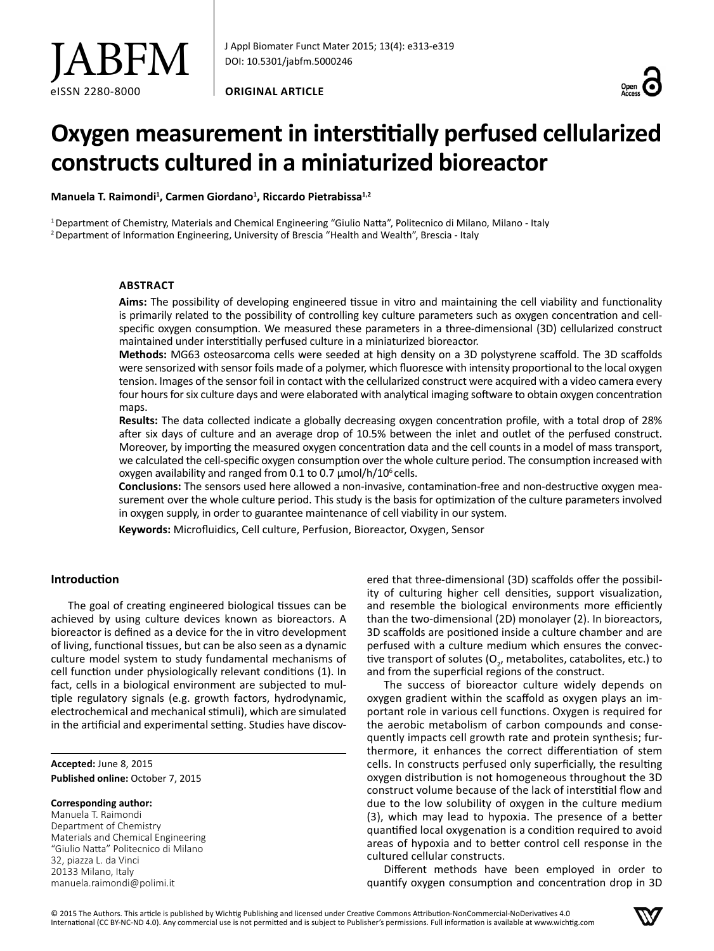**ORIGINAL ARTICLE**



# **Oxygen measurement in interstitially perfused cellularized constructs cultured in a miniaturized bioreactor**

**Manuela T. Raimondi<sup>1</sup> , Carmen Giordano<sup>1</sup> , Riccardo Pietrabissa1,2**

<sup>1</sup> Department of Chemistry, Materials and Chemical Engineering "Giulio Natta", Politecnico di Milano, Milano - Italy <sup>2</sup> Department of Information Engineering, University of Brescia "Health and Wealth", Brescia - Italy

# **Abstract**

**Aims:** The possibility of developing engineered tissue in vitro and maintaining the cell viability and functionality is primarily related to the possibility of controlling key culture parameters such as oxygen concentration and cellspecific oxygen consumption. We measured these parameters in a three-dimensional (3D) cellularized construct maintained under interstitially perfused culture in a miniaturized bioreactor.

**Methods:** MG63 osteosarcoma cells were seeded at high density on a 3D polystyrene scaffold. The 3D scaffolds were sensorized with sensor foils made of a polymer, which fluoresce with intensity proportional to the local oxygen tension. Images of the sensor foil in contact with the cellularized construct were acquired with a video camera every four hours for six culture days and were elaborated with analytical imaging software to obtain oxygen concentration maps.

**Results:** The data collected indicate a globally decreasing oxygen concentration profile, with a total drop of 28% after six days of culture and an average drop of 10.5% between the inlet and outlet of the perfused construct. Moreover, by importing the measured oxygen concentration data and the cell counts in a model of mass transport, we calculated the cell-specific oxygen consumption over the whole culture period. The consumption increased with oxygen availability and ranged from 0.1 to 0.7  $\mu$ mol/h/10<sup>6</sup> cells.

**Conclusions:** The sensors used here allowed a non-invasive, contamination-free and non-destructive oxygen measurement over the whole culture period. This study is the basis for optimization of the culture parameters involved in oxygen supply, in order to guarantee maintenance of cell viability in our system.

**Keywords:** Microfluidics, Cell culture, Perfusion, Bioreactor, Oxygen, Sensor

# **Introduction**

The goal of creating engineered biological tissues can be achieved by using culture devices known as bioreactors. A bioreactor is defined as a device for the in vitro development of living, functional tissues, but can be also seen as a dynamic culture model system to study fundamental mechanisms of cell function under physiologically relevant conditions (1). In fact, cells in a biological environment are subjected to multiple regulatory signals (e.g. growth factors, hydrodynamic, electrochemical and mechanical stimuli), which are simulated in the artificial and experimental setting. Studies have discov-

**Accepted:** June 8, 2015 **Published online:** October 7, 2015

#### **Corresponding author:**

Manuela T. Raimondi Department of Chemistry Materials and Chemical Engineering "Giulio Natta" Politecnico di Milano 32, piazza L. da Vinci 20133 Milano, Italy manuela.raimondi@polimi.it

ered that three-dimensional (3D) scaffolds offer the possibility of culturing higher cell densities, support visualization, and resemble the biological environments more efficiently than the two-dimensional (2D) monolayer (2). In bioreactors, 3D scaffolds are positioned inside a culture chamber and are perfused with a culture medium which ensures the convective transport of solutes ( $O<sub>2</sub>$ , metabolites, catabolites, etc.) to and from the superficial regions of the construct.

The success of bioreactor culture widely depends on oxygen gradient within the scaffold as oxygen plays an important role in various cell functions. Oxygen is required for the aerobic metabolism of carbon compounds and consequently impacts cell growth rate and protein synthesis; furthermore, it enhances the correct differentiation of stem cells. In constructs perfused only superficially, the resulting oxygen distribution is not homogeneous throughout the 3D construct volume because of the lack of interstitial flow and due to the low solubility of oxygen in the culture medium (3), which may lead to hypoxia. The presence of a better quantified local oxygenation is a condition required to avoid areas of hypoxia and to better control cell response in the cultured cellular constructs.

Different methods have been employed in order to quantify oxygen consumption and concentration drop in 3D

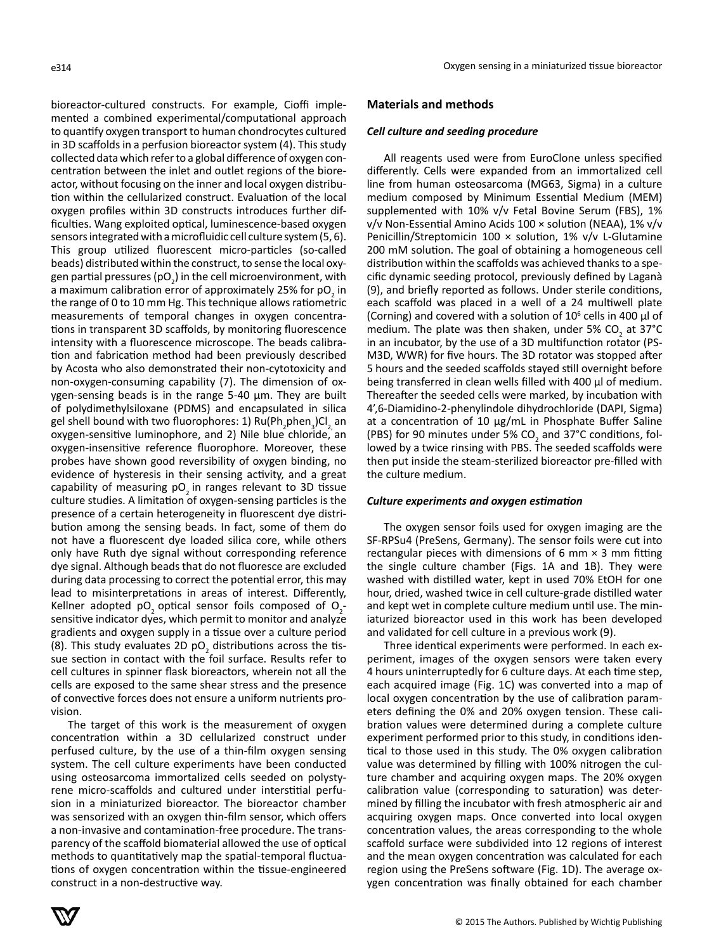bioreactor-cultured constructs. For example, Cioffi implemented a combined experimental/computational approach to quantify oxygen transport to human chondrocytes cultured in 3D scaffolds in a perfusion bioreactor system (4). This study collected data which refer to a global difference of oxygen concentration between the inlet and outlet regions of the bioreactor, without focusing on the inner and local oxygen distribution within the cellularized construct. Evaluation of the local oxygen profiles within 3D constructs introduces further difficulties. Wang exploited optical, luminescence-based oxygen sensors integrated with a microfluidic cell culture system (5, 6). This group utilized fluorescent micro-particles (so-called beads) distributed within the construct, to sense the local oxygen partial pressures (pO<sub>2</sub>) in the cell microenvironment, with a maximum calibration error of approximately 25% for pO<sub>2</sub> in the range of 0 to 10 mm Hg. This technique allows ratiometric measurements of temporal changes in oxygen concentrations in transparent 3D scaffolds, by monitoring fluorescence intensity with a fluorescence microscope. The beads calibration and fabrication method had been previously described by Acosta who also demonstrated their non-cytotoxicity and non-oxygen-consuming capability (7). The dimension of oxygen-sensing beads is in the range 5-40 µm. They are built of polydimethylsiloxane (PDMS) and encapsulated in silica gel shell bound with two fluorophores: 1) Ru(Ph<sub>2</sub>phen<sub>3</sub>)Cl<sub>2,</sub> an oxygen-sensitive luminophore, and 2) Nile blue chloride, an oxygen-insensitive reference fluorophore. Moreover, these probes have shown good reversibility of oxygen binding, no evidence of hysteresis in their sensing activity, and a great capability of measuring  $pO<sub>2</sub>$  in ranges relevant to 3D tissue culture studies. A limitation of oxygen-sensing particles is the presence of a certain heterogeneity in fluorescent dye distribution among the sensing beads. In fact, some of them do not have a fluorescent dye loaded silica core, while others only have Ruth dye signal without corresponding reference dye signal. Although beads that do not fluoresce are excluded during data processing to correct the potential error, this may lead to misinterpretations in areas of interest. Differently, Kellner adopted  $pO_2$  optical sensor foils composed of  $O_2$ sensitive indicator dyes, which permit to monitor and analyze gradients and oxygen supply in a tissue over a culture period (8). This study evaluates 2D  $pO_2$  distributions across the tissue section in contact with the foil surface. Results refer to cell cultures in spinner flask bioreactors, wherein not all the cells are exposed to the same shear stress and the presence of convective forces does not ensure a uniform nutrients provision.

The target of this work is the measurement of oxygen concentration within a 3D cellularized construct under perfused culture, by the use of a thin-film oxygen sensing system. The cell culture experiments have been conducted using osteosarcoma immortalized cells seeded on polystyrene micro-scaffolds and cultured under interstitial perfusion in a miniaturized bioreactor. The bioreactor chamber was sensorized with an oxygen thin-film sensor, which offers a non-invasive and contamination-free procedure. The transparency of the scaffold biomaterial allowed the use of optical methods to quantitatively map the spatial-temporal fluctuations of oxygen concentration within the tissue-engineered construct in a non-destructive way.

## **Materials and methods**

#### *Cell culture and seeding procedure*

All reagents used were from EuroClone unless specified differently. Cells were expanded from an immortalized cell line from human osteosarcoma (MG63, Sigma) in a culture medium composed by Minimum Essential Medium (MEM) supplemented with 10% v/v Fetal Bovine Serum (FBS), 1% v/v Non-Essential Amino Acids 100 × solution (NEAA), 1% v/v Penicillin/Streptomicin 100 × solution, 1% v/v L-Glutamine 200 mM solution. The goal of obtaining a homogeneous cell distribution within the scaffolds was achieved thanks to a specific dynamic seeding protocol, previously defined by Laganà (9), and briefly reported as follows. Under sterile conditions, each scaffold was placed in a well of a 24 multiwell plate (Corning) and covered with a solution of  $10^6$  cells in 400  $\mu$ l of medium. The plate was then shaken, under 5%  $CO_2$  at 37°C in an incubator, by the use of a 3D multifunction rotator (PS-M3D, WWR) for five hours. The 3D rotator was stopped after 5 hours and the seeded scaffolds stayed still overnight before being transferred in clean wells filled with 400 μl of medium. Thereafter the seeded cells were marked, by incubation with 4',6-Diamidino-2-phenylindole dihydrochloride (DAPI, Sigma) at a concentration of 10 μg/mL in Phosphate Buffer Saline (PBS) for 90 minutes under 5%  $CO<sub>2</sub>$  and 37°C conditions, followed by a twice rinsing with PBS. The seeded scaffolds were then put inside the steam-sterilized bioreactor pre-filled with the culture medium.

#### *Culture experiments and oxygen estimation*

The oxygen sensor foils used for oxygen imaging are the SF-RPSu4 (PreSens, Germany). The sensor foils were cut into rectangular pieces with dimensions of 6 mm × 3 mm fitting the single culture chamber (Figs. 1A and 1B). They were washed with distilled water, kept in used 70% EtOH for one hour, dried, washed twice in cell culture-grade distilled water and kept wet in complete culture medium until use. The miniaturized bioreactor used in this work has been developed and validated for cell culture in a previous work (9).

Three identical experiments were performed. In each experiment, images of the oxygen sensors were taken every 4 hours uninterruptedly for 6 culture days. At each time step, each acquired image (Fig. 1C) was converted into a map of local oxygen concentration by the use of calibration parameters defining the 0% and 20% oxygen tension. These calibration values were determined during a complete culture experiment performed prior to this study, in conditions identical to those used in this study. The 0% oxygen calibration value was determined by filling with 100% nitrogen the culture chamber and acquiring oxygen maps. The 20% oxygen calibration value (corresponding to saturation) was determined by filling the incubator with fresh atmospheric air and acquiring oxygen maps. Once converted into local oxygen concentration values, the areas corresponding to the whole scaffold surface were subdivided into 12 regions of interest and the mean oxygen concentration was calculated for each region using the PreSens software (Fig. 1D). The average oxygen concentration was finally obtained for each chamber

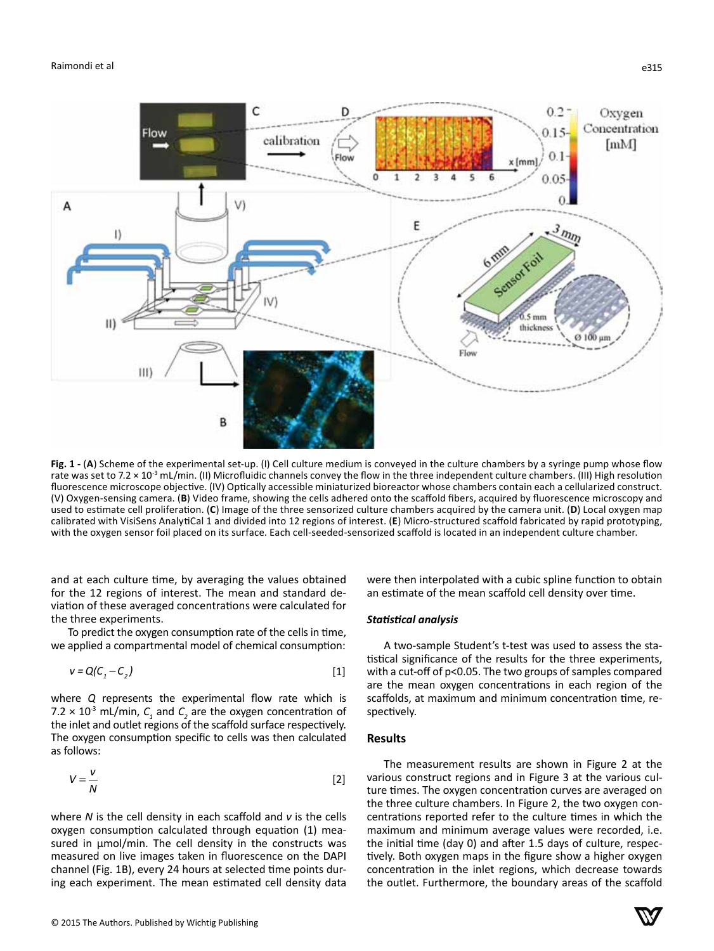

**Fig. 1 -** (**a**) Scheme of the experimental set-up. (I) Cell culture medium is conveyed in the culture chambers by a syringe pump whose flow rate was set to 7.2  $\times$  10<sup>-3</sup> mL/min. (II) Microfluidic channels convey the flow in the three independent culture chambers. (III) High resolution fluorescence microscope objective. (IV) Optically accessible miniaturized bioreactor whose chambers contain each a cellularized construct. (V) Oxygen-sensing camera. (**B**) Video frame, showing the cells adhered onto the scaffold fibers, acquired by fluorescence microscopy and used to estimate cell proliferation. (**C**) Image of the three sensorized culture chambers acquired by the camera unit. (**D**) Local oxygen map calibrated with VisiSens AnalytiCal 1 and divided into 12 regions of interest. (**E**) Micro-structured scaffold fabricated by rapid prototyping, with the oxygen sensor foil placed on its surface. Each cell-seeded-sensorized scaffold is located in an independent culture chamber.

and at each culture time, by averaging the values obtained for the 12 regions of interest. The mean and standard deviation of these averaged concentrations were calculated for the three experiments.

To predict the oxygen consumption rate of the cells in time, we applied a compartmental model of chemical consumption:

$$
v = Q(C_1 - C_2) \tag{1}
$$

where *Q* represents the experimental flow rate which is  $7.2 \times 10^{3}$  mL/min,  $C_1$  and  $C_2$  are the oxygen concentration of the inlet and outlet regions of the scaffold surface respectively. The oxygen consumption specific to cells was then calculated as follows:

$$
V = \frac{V}{N}
$$
 [2]

where *N* is the cell density in each scaffold and *ν* is the cells oxygen consumption calculated through equation (1) measured in  $\mu$ mol/min. The cell density in the constructs was measured on live images taken in fluorescence on the DAPI channel (Fig. 1B), every 24 hours at selected time points during each experiment. The mean estimated cell density data

were then interpolated with a cubic spline function to obtain an estimate of the mean scaffold cell density over time.

## *Statistical analysis*

A two-sample Student's t-test was used to assess the statistical significance of the results for the three experiments, with a cut-off of p<0.05. The two groups of samples compared are the mean oxygen concentrations in each region of the scaffolds, at maximum and minimum concentration time, respectively.

## **Results**

The measurement results are shown in Figure 2 at the various construct regions and in Figure 3 at the various culture times. The oxygen concentration curves are averaged on the three culture chambers. In Figure 2, the two oxygen concentrations reported refer to the culture times in which the maximum and minimum average values were recorded, i.e. the initial time (day 0) and after 1.5 days of culture, respectively. Both oxygen maps in the figure show a higher oxygen concentration in the inlet regions, which decrease towards the outlet. Furthermore, the boundary areas of the scaffold

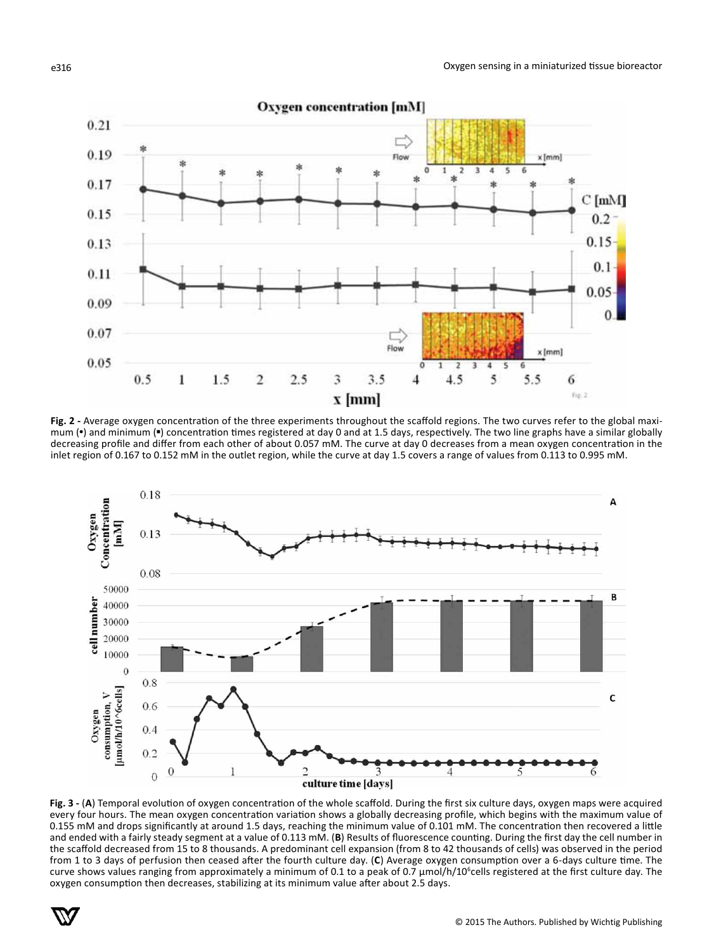

**Fig. 2 -** Average oxygen concentration of the three experiments throughout the scaffold regions. The two curves refer to the global maximum (•) and minimum (•) concentration times registered at day 0 and at 1.5 days, respectively. The two line graphs have a similar globally decreasing profile and differ from each other of about 0.057 mM. The curve at day 0 decreases from a mean oxygen concentration in the inlet region of 0.167 to 0.152 mM in the outlet region, while the curve at day 1.5 covers a range of values from 0.113 to 0.995 mM.



**Fig. 3 -** (**a**) Temporal evolution of oxygen concentration of the whole scaffold. During the first six culture days, oxygen maps were acquired every four hours. The mean oxygen concentration variation shows a globally decreasing profile, which begins with the maximum value of 0.155 mM and drops significantly at around 1.5 days, reaching the minimum value of 0.101 mM. The concentration then recovered a little and ended with a fairly steady segment at a value of 0.113 mM. (**B**) Results of fluorescence counting. During the first day the cell number in the scaffold decreased from 15 to 8 thousands. A predominant cell expansion (from 8 to 42 thousands of cells) was observed in the period from 1 to 3 days of perfusion then ceased after the fourth culture day. (**C**) Average oxygen consumption over a 6-days culture time. The curve shows values ranging from approximately a minimum of 0.1 to a peak of 0.7  $\mu$ mol/h/10<sup>6</sup>cells registered at the first culture day. The oxygen consumption then decreases, stabilizing at its minimum value after about 2.5 days.

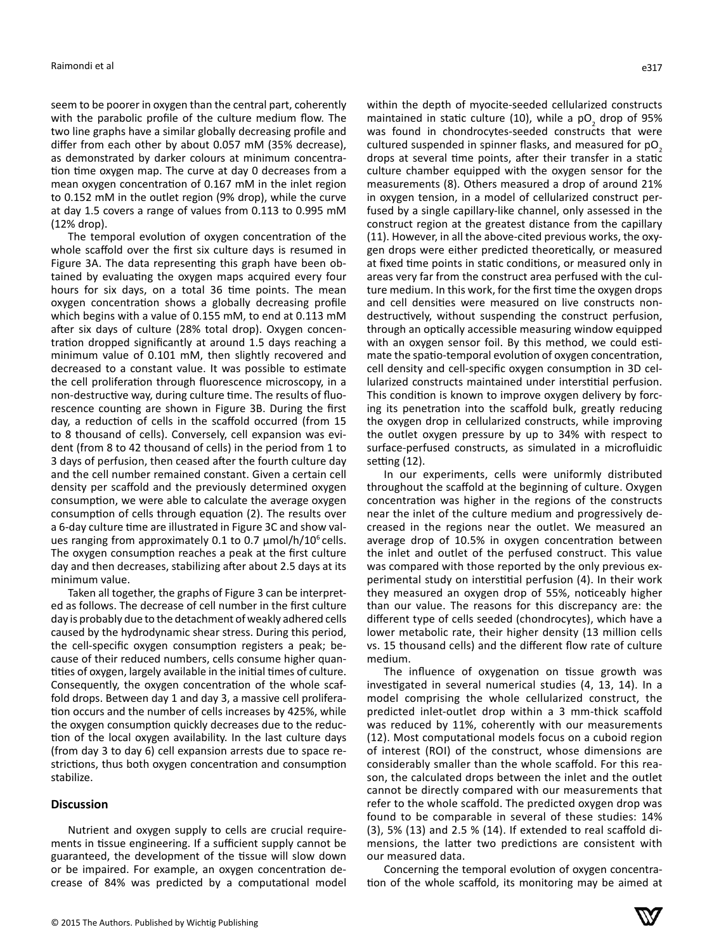seem to be poorer in oxygen than the central part, coherently with the parabolic profile of the culture medium flow. The two line graphs have a similar globally decreasing profile and differ from each other by about 0.057 mM (35% decrease), as demonstrated by darker colours at minimum concentration time oxygen map. The curve at day 0 decreases from a mean oxygen concentration of 0.167 mM in the inlet region to 0.152 mM in the outlet region (9% drop), while the curve at day 1.5 covers a range of values from 0.113 to 0.995 mM (12% drop).

The temporal evolution of oxygen concentration of the whole scaffold over the first six culture days is resumed in Figure 3A. The data representing this graph have been obtained by evaluating the oxygen maps acquired every four hours for six days, on a total 36 time points. The mean oxygen concentration shows a globally decreasing profile which begins with a value of 0.155 mM, to end at 0.113 mM after six days of culture (28% total drop). Oxygen concentration dropped significantly at around 1.5 days reaching a minimum value of 0.101 mM, then slightly recovered and decreased to a constant value. It was possible to estimate the cell proliferation through fluorescence microscopy, in a non-destructive way, during culture time. The results of fluorescence counting are shown in Figure 3B. During the first day, a reduction of cells in the scaffold occurred (from 15 to 8 thousand of cells). Conversely, cell expansion was evident (from 8 to 42 thousand of cells) in the period from 1 to 3 days of perfusion, then ceased after the fourth culture day and the cell number remained constant. Given a certain cell density per scaffold and the previously determined oxygen consumption, we were able to calculate the average oxygen consumption of cells through equation (2). The results over a 6-day culture time are illustrated in Figure 3C and show values ranging from approximately 0.1 to 0.7  $\mu$ mol/h/10<sup>6</sup> cells. The oxygen consumption reaches a peak at the first culture day and then decreases, stabilizing after about 2.5 days at its minimum value.

Taken all together, the graphs of Figure 3 can be interpreted as follows. The decrease of cell number in the first culture day is probably due to the detachment of weakly adhered cells caused by the hydrodynamic shear stress. During this period, the cell-specific oxygen consumption registers a peak; because of their reduced numbers, cells consume higher quantities of oxygen, largely available in the initial times of culture. Consequently, the oxygen concentration of the whole scaffold drops. Between day 1 and day 3, a massive cell proliferation occurs and the number of cells increases by 425%, while the oxygen consumption quickly decreases due to the reduction of the local oxygen availability. In the last culture days (from day 3 to day 6) cell expansion arrests due to space restrictions, thus both oxygen concentration and consumption stabilize.

## **Discussion**

Nutrient and oxygen supply to cells are crucial requirements in tissue engineering. If a sufficient supply cannot be guaranteed, the development of the tissue will slow down or be impaired. For example, an oxygen concentration decrease of 84% was predicted by a computational model within the depth of myocite-seeded cellularized constructs maintained in static culture (10), while a  $pO<sub>2</sub>$  drop of 95% was found in chondrocytes-seeded constructs that were cultured suspended in spinner flasks, and measured for  $pO$ . drops at several time points, after their transfer in a static culture chamber equipped with the oxygen sensor for the measurements (8). Others measured a drop of around 21% in oxygen tension, in a model of cellularized construct perfused by a single capillary-like channel, only assessed in the construct region at the greatest distance from the capillary (11). However, in all the above-cited previous works, the oxygen drops were either predicted theoretically, or measured at fixed time points in static conditions, or measured only in areas very far from the construct area perfused with the culture medium. In this work, for the first time the oxygen drops and cell densities were measured on live constructs nondestructively, without suspending the construct perfusion, through an optically accessible measuring window equipped with an oxygen sensor foil. By this method, we could estimate the spatio-temporal evolution of oxygen concentration, cell density and cell-specific oxygen consumption in 3D cellularized constructs maintained under interstitial perfusion. This condition is known to improve oxygen delivery by forcing its penetration into the scaffold bulk, greatly reducing the oxygen drop in cellularized constructs, while improving the outlet oxygen pressure by up to 34% with respect to surface-perfused constructs, as simulated in a microfluidic setting (12).

In our experiments, cells were uniformly distributed throughout the scaffold at the beginning of culture. Oxygen concentration was higher in the regions of the constructs near the inlet of the culture medium and progressively decreased in the regions near the outlet. We measured an average drop of 10.5% in oxygen concentration between the inlet and outlet of the perfused construct. This value was compared with those reported by the only previous experimental study on interstitial perfusion (4). In their work they measured an oxygen drop of 55%, noticeably higher than our value. The reasons for this discrepancy are: the different type of cells seeded (chondrocytes), which have a lower metabolic rate, their higher density (13 million cells vs. 15 thousand cells) and the different flow rate of culture medium.

The influence of oxygenation on tissue growth was investigated in several numerical studies (4, 13, 14). In a model comprising the whole cellularized construct, the predicted inlet-outlet drop within a 3 mm-thick scaffold was reduced by 11%, coherently with our measurements (12). Most computational models focus on a cuboid region of interest (ROI) of the construct, whose dimensions are considerably smaller than the whole scaffold. For this reason, the calculated drops between the inlet and the outlet cannot be directly compared with our measurements that refer to the whole scaffold. The predicted oxygen drop was found to be comparable in several of these studies: 14% (3), 5% (13) and 2.5 % (14). If extended to real scaffold dimensions, the latter two predictions are consistent with our measured data.

Concerning the temporal evolution of oxygen concentration of the whole scaffold, its monitoring may be aimed at

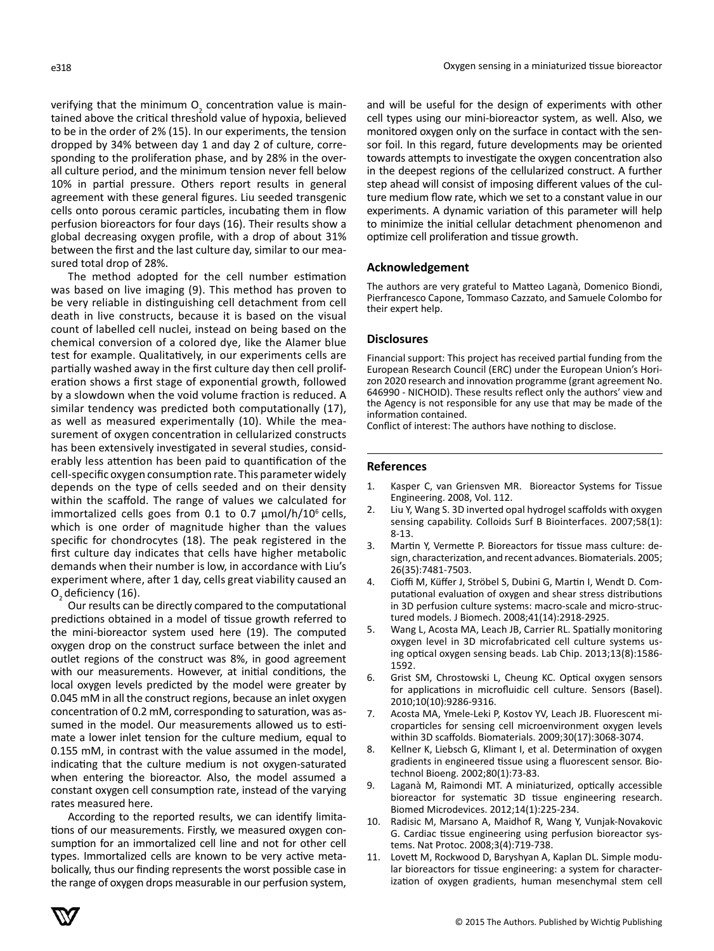verifying that the minimum  $O_2$  concentration value is maintained above the critical threshold value of hypoxia, believed to be in the order of 2% (15). In our experiments, the tension dropped by 34% between day 1 and day 2 of culture, corresponding to the proliferation phase, and by 28% in the overall culture period, and the minimum tension never fell below 10% in partial pressure. Others report results in general agreement with these general figures. Liu seeded transgenic cells onto porous ceramic particles, incubating them in flow perfusion bioreactors for four days (16). Their results show a global decreasing oxygen profile, with a drop of about 31% between the first and the last culture day, similar to our measured total drop of 28%.

The method adopted for the cell number estimation was based on live imaging (9). This method has proven to be very reliable in distinguishing cell detachment from cell death in live constructs, because it is based on the visual count of labelled cell nuclei, instead on being based on the chemical conversion of a colored dye, like the Alamer blue test for example. Qualitatively, in our experiments cells are partially washed away in the first culture day then cell proliferation shows a first stage of exponential growth, followed by a slowdown when the void volume fraction is reduced. A similar tendency was predicted both computationally (17), as well as measured experimentally (10). While the measurement of oxygen concentration in cellularized constructs has been extensively investigated in several studies, considerably less attention has been paid to quantification of the cell-specific oxygen consumption rate. This parameter widely depends on the type of cells seeded and on their density within the scaffold. The range of values we calculated for immortalized cells goes from 0.1 to 0.7  $\mu$ mol/h/10<sup>6</sup> cells, which is one order of magnitude higher than the values specific for chondrocytes (18). The peak registered in the first culture day indicates that cells have higher metabolic demands when their number is low, in accordance with Liu's experiment where, after 1 day, cells great viability caused an O<sub>2</sub> deficiency (16).

Our results can be directly compared to the computational predictions obtained in a model of tissue growth referred to the mini-bioreactor system used here (19). The computed oxygen drop on the construct surface between the inlet and outlet regions of the construct was 8%, in good agreement with our measurements. However, at initial conditions, the local oxygen levels predicted by the model were greater by 0.045 mM in all the construct regions, because an inlet oxygen concentration of 0.2 mM, corresponding to saturation, was assumed in the model. Our measurements allowed us to estimate a lower inlet tension for the culture medium, equal to 0.155 mM, in contrast with the value assumed in the model, indicating that the culture medium is not oxygen-saturated when entering the bioreactor. Also, the model assumed a constant oxygen cell consumption rate, instead of the varying rates measured here.

According to the reported results, we can identify limitations of our measurements. Firstly, we measured oxygen consumption for an immortalized cell line and not for other cell types. Immortalized cells are known to be very active metabolically, thus our finding represents the worst possible case in the range of oxygen drops measurable in our perfusion system,

and will be useful for the design of experiments with other cell types using our mini-bioreactor system, as well. Also, we monitored oxygen only on the surface in contact with the sensor foil. In this regard, future developments may be oriented towards attempts to investigate the oxygen concentration also in the deepest regions of the cellularized construct. A further step ahead will consist of imposing different values of the culture medium flow rate, which we set to a constant value in our experiments. A dynamic variation of this parameter will help to minimize the initial cellular detachment phenomenon and optimize cell proliferation and tissue growth.

# **Acknowledgement**

The authors are very grateful to Matteo Laganà, Domenico Biondi, Pierfrancesco Capone, Tommaso Cazzato, and Samuele Colombo for their expert help.

### **Disclosures**

Financial support: This project has received partial funding from the European Research Council (ERC) under the European Union's Horizon 2020 research and innovation programme (grant agreement No. 646990 - NICHOID). These results reflect only the authors' view and the Agency is not responsible for any use that may be made of the information contained.

Conflict of interest: The authors have nothing to disclose.

## **References**

- 1. Kasper C, van Griensven MR. Bioreactor Systems for Tissue Engineering. 2008, Vol. 112.
- 2. Liu Y, Wang S. 3D inverted opal hydrogel scaffolds with oxygen sensing capability. Colloids Surf B Biointerfaces. 2007;58(1): 8-13.
- 3. Martin Y, Vermette P. Bioreactors for tissue mass culture: design, characterization, and recent advances. Biomaterials. 2005; 26(35):7481-7503.
- 4. Cioffi M, Küffer J, Ströbel S, Dubini G, Martin I, Wendt D. Computational evaluation of oxygen and shear stress distributions in 3D perfusion culture systems: macro-scale and micro-structured models. J Biomech. 2008;41(14):2918-2925.
- 5. Wang L, Acosta MA, Leach JB, Carrier RL. Spatially monitoring oxygen level in 3D microfabricated cell culture systems using optical oxygen sensing beads. Lab Chip. 2013;13(8):1586- 1592.
- 6. Grist SM, Chrostowski L, Cheung KC. Optical oxygen sensors for applications in microfluidic cell culture. Sensors (Basel). 2010;10(10):9286-9316.
- 7. Acosta MA, Ymele-Leki P, Kostov YV, Leach JB. Fluorescent microparticles for sensing cell microenvironment oxygen levels within 3D scaffolds. Biomaterials. 2009;30(17):3068-3074.
- 8. Kellner K, Liebsch G, Klimant I, et al. Determination of oxygen gradients in engineered tissue using a fluorescent sensor. Biotechnol Bioeng. 2002;80(1):73-83.
- 9. Laganà M, Raimondi MT. A miniaturized, optically accessible bioreactor for systematic 3D tissue engineering research. Biomed Microdevices. 2012;14(1):225-234.
- 10. Radisic M, Marsano A, Maidhof R, Wang Y, Vunjak-Novakovic G. Cardiac tissue engineering using perfusion bioreactor systems. Nat Protoc. 2008;3(4):719-738.
- 11. Lovett M, Rockwood D, Baryshyan A, Kaplan DL. Simple modular bioreactors for tissue engineering: a system for characterization of oxygen gradients, human mesenchymal stem cell